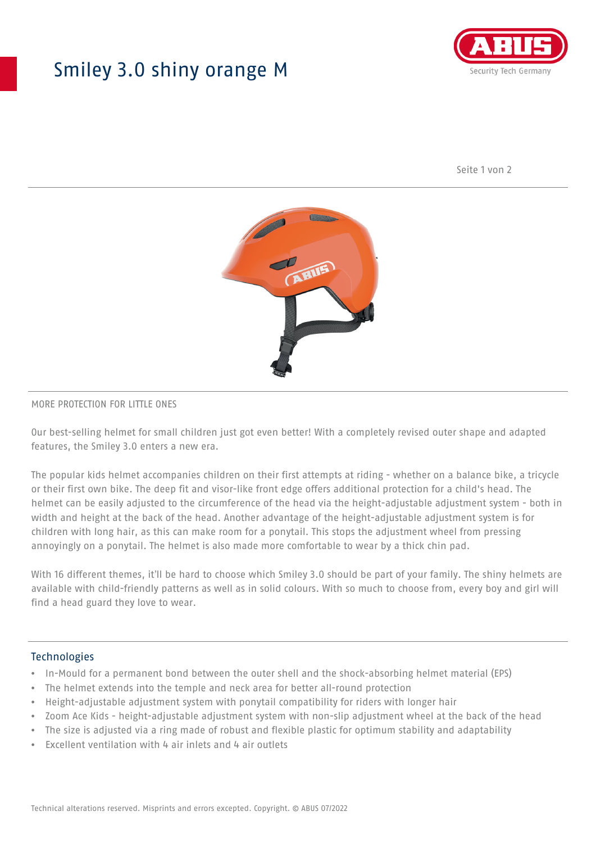## Smiley 3.0 shiny orange M



Seite 1 von 2



#### MORE PROTECTION FOR LITTLE ONES

Our best-selling helmet for small children just got even better! With a completely revised outer shape and adapted features, the Smiley 3.0 enters a new era.

The popular kids helmet accompanies children on their first attempts at riding - whether on a balance bike, a tricycle or their first own bike. The deep fit and visor-like front edge offers additional protection for a child's head. The helmet can be easily adjusted to the circumference of the head via the height-adjustable adjustment system - both in width and height at the back of the head. Another advantage of the height-adjustable adjustment system is for children with long hair, as this can make room for a ponytail. This stops the adjustment wheel from pressing annoyingly on a ponytail. The helmet is also made more comfortable to wear by a thick chin pad.

With 16 different themes, it'll be hard to choose which Smiley 3.0 should be part of your family. The shiny helmets are available with child-friendly patterns as well as in solid colours. With so much to choose from, every boy and girl will find a head guard they love to wear.

#### **Technologies**

- In-Mould for a permanent bond between the outer shell and the shock-absorbing helmet material (EPS)
- The helmet extends into the temple and neck area for better all-round protection
- Height-adjustable adjustment system with ponytail compatibility for riders with longer hair
- Zoom Ace Kids height-adjustable adjustment system with non-slip adjustment wheel at the back of the head
- The size is adjusted via a ring made of robust and flexible plastic for optimum stability and adaptability
- Excellent ventilation with 4 air inlets and 4 air outlets